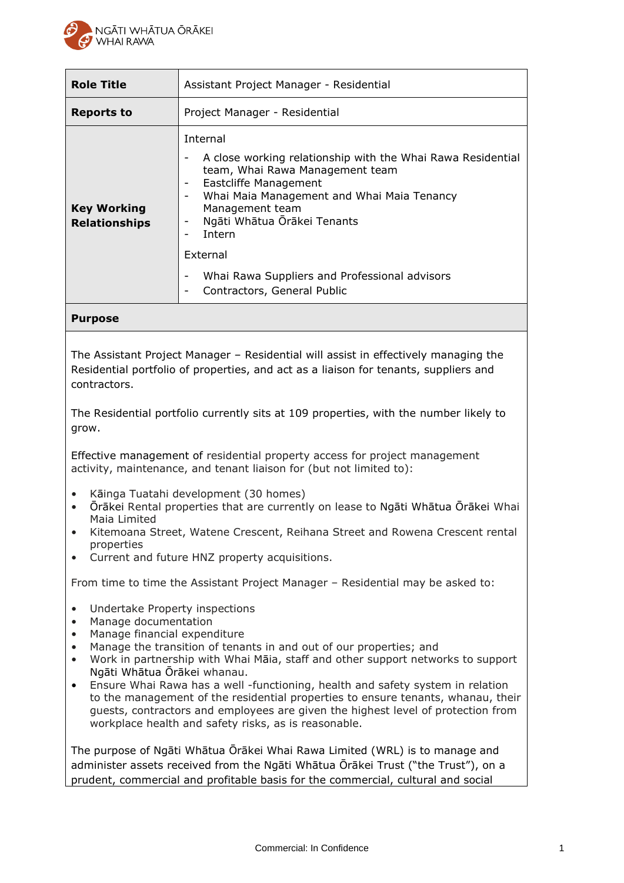

| <b>Role Title</b>                          | Assistant Project Manager - Residential                                                                                                                                                                                                                                                                                                                                               |
|--------------------------------------------|---------------------------------------------------------------------------------------------------------------------------------------------------------------------------------------------------------------------------------------------------------------------------------------------------------------------------------------------------------------------------------------|
| Reports to                                 | Project Manager - Residential                                                                                                                                                                                                                                                                                                                                                         |
| <b>Key Working</b><br><b>Relationships</b> | Internal<br>A close working relationship with the Whai Rawa Residential<br>team, Whai Rawa Management team<br>Eastcliffe Management<br>-<br>Whai Maia Management and Whai Maia Tenancy<br>۰<br>Management team<br>Ngāti Whātua Ōrākei Tenants<br>-<br>Intern<br>$\qquad \qquad$<br>External<br>Whai Rawa Suppliers and Professional advisors<br>۰<br>Contractors, General Public<br>- |

### **Purpose**

The Assistant Project Manager – Residential will assist in effectively managing the Residential portfolio of properties, and act as a liaison for tenants, suppliers and contractors.

The Residential portfolio currently sits at 109 properties, with the number likely to grow.

Effective management of residential property access for project management activity, maintenance, and tenant liaison for (but not limited to):

- Kāinga Tuatahi development (30 homes)
- Ōrākei Rental properties that are currently on lease to Ngāti Whātua Ōrākei Whai Maia Limited
- Kitemoana Street, Watene Crescent, Reihana Street and Rowena Crescent rental properties
- Current and future HNZ property acquisitions.

From time to time the Assistant Project Manager – Residential may be asked to:

- Undertake Property inspections
- Manage documentation
- Manage financial expenditure
- Manage the transition of tenants in and out of our properties; and
- Work in partnership with Whai Māia, staff and other support networks to support Ngāti Whātua Ōrākei whanau.
- Ensure Whai Rawa has a well -functioning, health and safety system in relation to the management of the residential properties to ensure tenants, whanau, their guests, contractors and employees are given the highest level of protection from workplace health and safety risks, as is reasonable.

The purpose of Ngāti Whātua Ōrākei Whai Rawa Limited (WRL) is to manage and administer assets received from the Ngāti Whātua Ōrākei Trust ("the Trust"), on a prudent, commercial and profitable basis for the commercial, cultural and social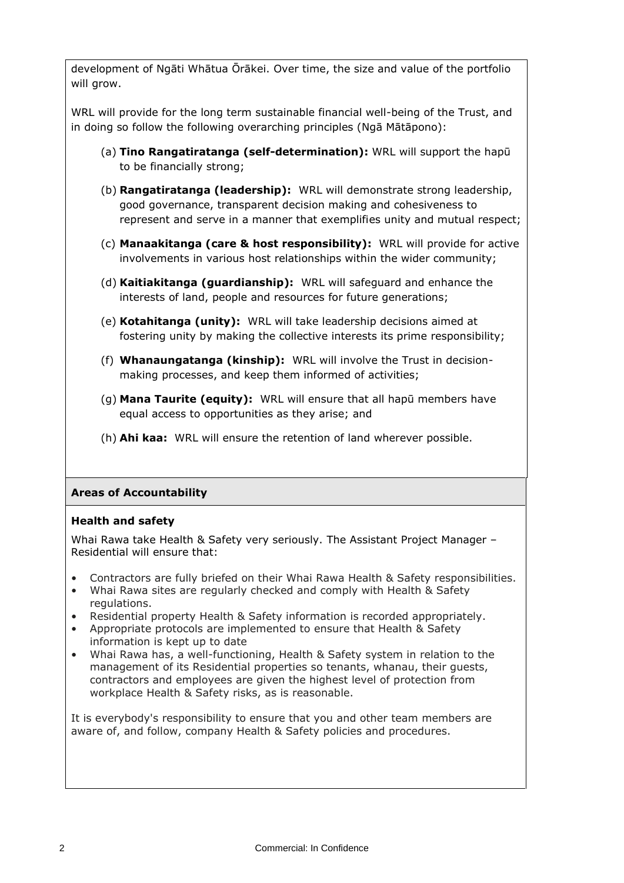development of Ngāti Whātua Ōrākei. Over time, the size and value of the portfolio will grow.

WRL will provide for the long term sustainable financial well-being of the Trust, and in doing so follow the following overarching principles (Ngā Mātāpono):

- (a) **Tino Rangatiratanga (self-determination):** WRL will support the hapū to be financially strong;
- (b) **Rangatiratanga (leadership):** WRL will demonstrate strong leadership, good governance, transparent decision making and cohesiveness to represent and serve in a manner that exemplifies unity and mutual respect;
- (c) **Manaakitanga (care & host responsibility):** WRL will provide for active involvements in various host relationships within the wider community;
- (d) **Kaitiakitanga (guardianship):** WRL will safeguard and enhance the interests of land, people and resources for future generations;
- (e) **Kotahitanga (unity):** WRL will take leadership decisions aimed at fostering unity by making the collective interests its prime responsibility;
- (f) **Whanaungatanga (kinship):** WRL will involve the Trust in decisionmaking processes, and keep them informed of activities;
- (g) **Mana Taurite (equity):** WRL will ensure that all hapū members have equal access to opportunities as they arise; and
- (h) **Ahi kaa:** WRL will ensure the retention of land wherever possible.

# **Areas of Accountability**

## **Health and safety**

Whai Rawa take Health & Safety very seriously. The Assistant Project Manager – Residential will ensure that:

- Contractors are fully briefed on their Whai Rawa Health & Safety responsibilities.
- Whai Rawa sites are regularly checked and comply with Health & Safety regulations.
- Residential property Health & Safety information is recorded appropriately.
- Appropriate protocols are implemented to ensure that Health & Safety information is kept up to date
- Whai Rawa has, a well-functioning, Health & Safety system in relation to the management of its Residential properties so tenants, whanau, their guests, contractors and employees are given the highest level of protection from workplace Health & Safety risks, as is reasonable.

It is everybody's responsibility to ensure that you and other team members are aware of, and follow, company Health & Safety policies and procedures.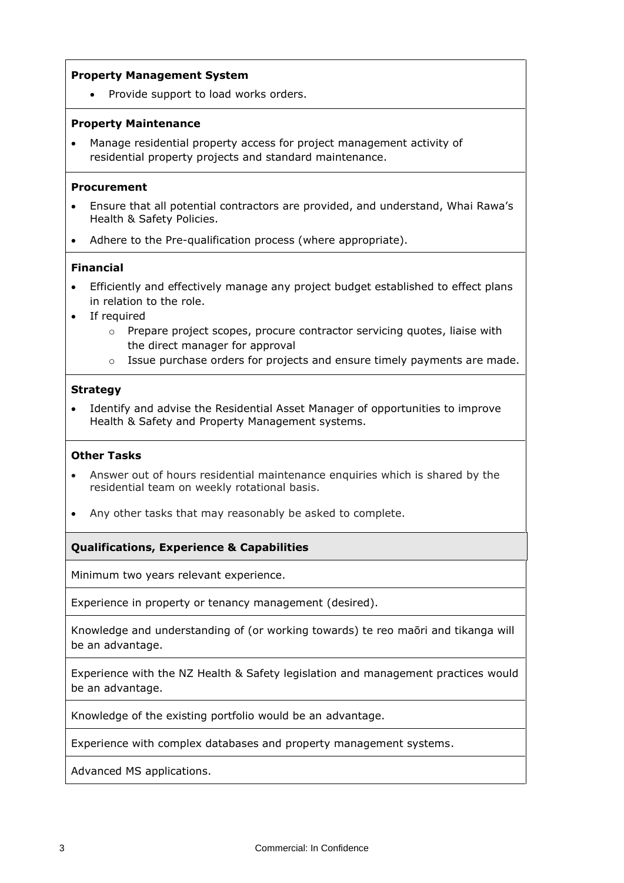### **Property Management System**

Provide support to load works orders.

#### **Property Maintenance**

• Manage residential property access for project management activity of residential property projects and standard maintenance.

#### **Procurement**

- Ensure that all potential contractors are provided, and understand, Whai Rawa's Health & Safety Policies.
- Adhere to the Pre-qualification process (where appropriate).

#### **Financial**

- Efficiently and effectively manage any project budget established to effect plans in relation to the role.
- If required
	- $\circ$  Prepare project scopes, procure contractor servicing quotes, liaise with the direct manager for approval
	- o Issue purchase orders for projects and ensure timely payments are made.

#### **Strategy**

• Identify and advise the Residential Asset Manager of opportunities to improve Health & Safety and Property Management systems.

#### **Other Tasks**

- Answer out of hours residential maintenance enquiries which is shared by the residential team on weekly rotational basis.
- Any other tasks that may reasonably be asked to complete.

## **Qualifications, Experience & Capabilities**

Minimum two years relevant experience.

Experience in property or tenancy management (desired).

Knowledge and understanding of (or working towards) te reo maōri and tikanga will be an advantage.

Experience with the NZ Health & Safety legislation and management practices would be an advantage.

Knowledge of the existing portfolio would be an advantage.

Experience with complex databases and property management systems.

Advanced MS applications.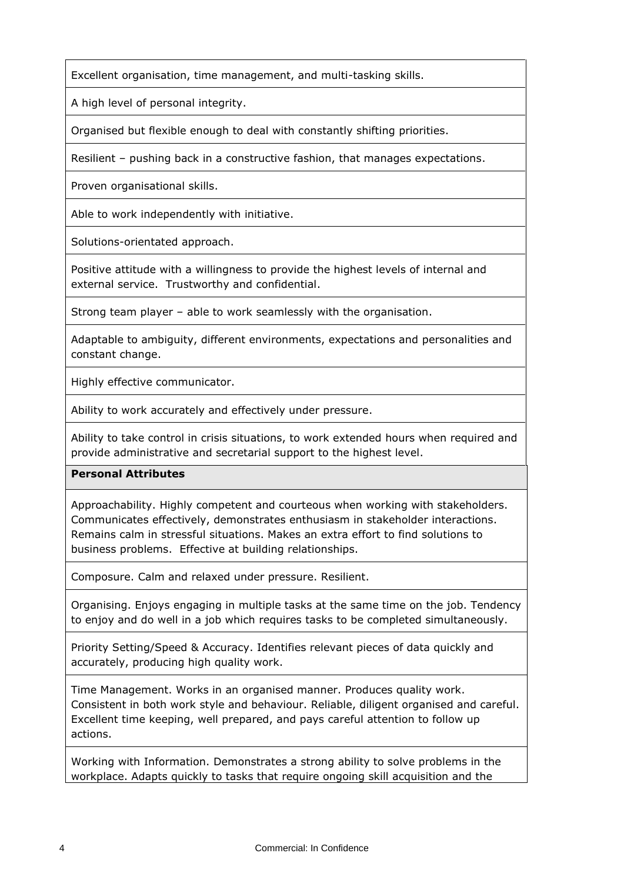Excellent organisation, time management, and multi-tasking skills.

A high level of personal integrity.

Organised but flexible enough to deal with constantly shifting priorities.

Resilient – pushing back in a constructive fashion, that manages expectations.

Proven organisational skills.

Able to work independently with initiative.

Solutions-orientated approach.

Positive attitude with a willingness to provide the highest levels of internal and external service. Trustworthy and confidential.

Strong team player – able to work seamlessly with the organisation.

Adaptable to ambiguity, different environments, expectations and personalities and constant change.

Highly effective communicator.

Ability to work accurately and effectively under pressure.

Ability to take control in crisis situations, to work extended hours when required and provide administrative and secretarial support to the highest level.

# **Personal Attributes**

Approachability. Highly competent and courteous when working with stakeholders. Communicates effectively, demonstrates enthusiasm in stakeholder interactions. Remains calm in stressful situations. Makes an extra effort to find solutions to business problems. Effective at building relationships.

Composure. Calm and relaxed under pressure. Resilient.

Organising. Enjoys engaging in multiple tasks at the same time on the job. Tendency to enjoy and do well in a job which requires tasks to be completed simultaneously.

Priority Setting/Speed & Accuracy. Identifies relevant pieces of data quickly and accurately, producing high quality work.

Time Management. Works in an organised manner. Produces quality work. Consistent in both work style and behaviour. Reliable, diligent organised and careful. Excellent time keeping, well prepared, and pays careful attention to follow up actions.

Working with Information. Demonstrates a strong ability to solve problems in the workplace. Adapts quickly to tasks that require ongoing skill acquisition and the